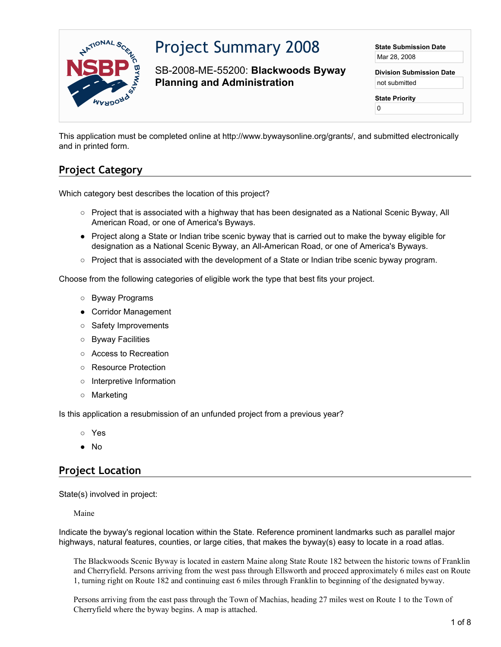

# Project Summary 2008

SB-2008-ME-55200: **Blackwoods Byway Planning and Administration**

**State Submission Date** Mar 28, 2008

**Division Submission Date** not submitted

**State Priority**

0

This application must be completed online at http://www.bywaysonline.org/grants/, and submitted electronically and in printed form.

## **Project Category**

Which category best describes the location of this project?

- Project that is associated with a highway that has been designated as a National Scenic Byway, All American Road, or one of America's Byways.
- Project along a State or Indian tribe scenic byway that is carried out to make the byway eligible for designation as a National Scenic Byway, an All-American Road, or one of America's Byways.
- Project that is associated with the development of a State or Indian tribe scenic byway program.

Choose from the following categories of eligible work the type that best fits your project.

- Byway Programs
- Corridor Management
- Safety Improvements
- Byway Facilities
- Access to Recreation
- Resource Protection
- Interpretive Information
- Marketing

Is this application a resubmission of an unfunded project from a previous year?

- Yes
- No

#### **Project Location**

State(s) involved in project:

Maine

Indicate the byway's regional location within the State. Reference prominent landmarks such as parallel major highways, natural features, counties, or large cities, that makes the byway(s) easy to locate in a road atlas.

The Blackwoods Scenic Byway is located in eastern Maine along State Route 182 between the historic towns of Franklin and Cherryfield. Persons arriving from the west pass through Ellsworth and proceed approximately 6 miles east on Route 1, turning right on Route 182 and continuing east 6 miles through Franklin to beginning of the designated byway.

Persons arriving from the east pass through the Town of Machias, heading 27 miles west on Route 1 to the Town of Cherryfield where the byway begins. A map is attached.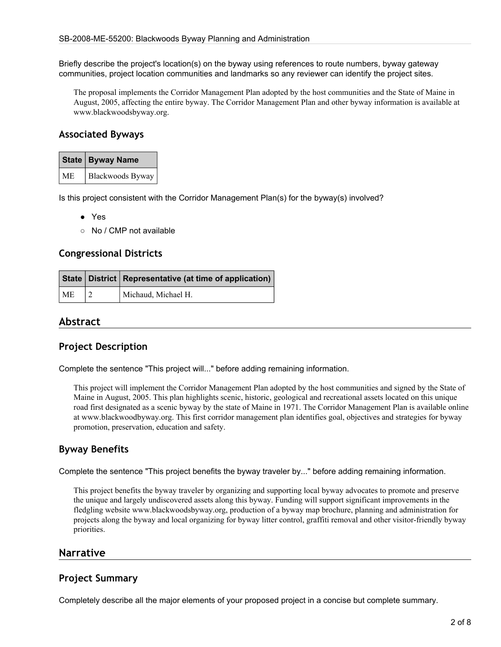Briefly describe the project's location(s) on the byway using references to route numbers, byway gateway communities, project location communities and landmarks so any reviewer can identify the project sites.

The proposal implements the Corridor Management Plan adopted by the host communities and the State of Maine in August, 2005, affecting the entire byway. The Corridor Management Plan and other byway information is available at www.blackwoodsbyway.org.

#### **Associated Byways**

|           | State   Byway Name |  |
|-----------|--------------------|--|
| <b>ME</b> | Blackwoods Byway   |  |

Is this project consistent with the Corridor Management Plan(s) for the byway(s) involved?

- Yes
- No / CMP not available

#### **Congressional Districts**

|           | State   District   Representative (at time of application) |  |
|-----------|------------------------------------------------------------|--|
| <b>ME</b> | Michaud, Michael H.                                        |  |

#### **Abstract**

#### **Project Description**

Complete the sentence "This project will..." before adding remaining information.

This project will implement the Corridor Management Plan adopted by the host communities and signed by the State of Maine in August, 2005. This plan highlights scenic, historic, geological and recreational assets located on this unique road first designated as a scenic byway by the state of Maine in 1971. The Corridor Management Plan is available online at www.blackwoodbyway.org. This first corridor management plan identifies goal, objectives and strategies for byway promotion, preservation, education and safety.

#### **Byway Benefits**

Complete the sentence "This project benefits the byway traveler by..." before adding remaining information.

This project benefits the byway traveler by organizing and supporting local byway advocates to promote and preserve the unique and largely undiscovered assets along this byway. Funding will support significant improvements in the fledgling website www.blackwoodsbyway.org, production of a byway map brochure, planning and administration for projects along the byway and local organizing for byway litter control, graffiti removal and other visitor-friendly byway priorities.

#### **Narrative**

#### **Project Summary**

Completely describe all the major elements of your proposed project in a concise but complete summary.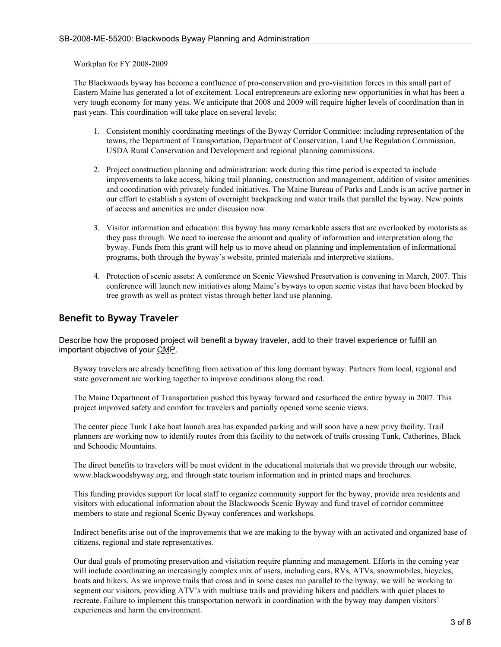Workplan for FY 2008-2009

The Blackwoods byway has become a confluence of pro-conservation and pro-visitation forces in this small part of Eastern Maine has generated a lot of excitement. Local entrepreneurs are exloring new opportunities in what has been a very tough economy for many yeas. We anticipate that 2008 and 2009 will require higher levels of coordination than in past years. This coordination will take place on several levels:

- 1. Consistent monthly coordinating meetings of the Byway Corridor Committee: including representation of the towns, the Department of Transportation, Department of Conservation, Land Use Regulation Commission, USDA Rural Conservation and Development and regional planning commissions.
- 2. Project construction planning and administration: work during this time period is expected to include improvements to lake access, hiking trail planning, construction and management, addition of visitor amenities and coordination with privately funded initiatives. The Maine Bureau of Parks and Lands is an active partner in our effort to establish a system of overnight backpacking and water trails that parallel the byway. New points of access and amenities are under discusion now.
- 3. Visitor information and education: this byway has many remarkable assets that are overlooked by motorists as they pass through. We need to increase the amount and quality of information and interpretation along the byway. Funds from this grant will help us to move ahead on planning and implementation of informational programs, both through the byway's website, printed materials and interpretive stations.
- 4. Protection of scenic assets: A conference on Scenic Viewshed Preservation is convening in March, 2007. This conference will launch new initiatives along Maine's byways to open scenic vistas that have been blocked by tree growth as well as protect vistas through better land use planning.

#### **Benefit to Byway Traveler**

Describe how the proposed project will benefit a byway traveler, add to their travel experience or fulfill an important objective of your CMP.

Byway travelers are already benefiting from activation of this long dormant byway. Partners from local, regional and state government are working together to improve conditions along the road.

The Maine Department of Transportation pushed this byway forward and resurfaced the entire byway in 2007. This project improved safety and comfort for travelers and partially opened some scenic views.

The center piece Tunk Lake boat launch area has expanded parking and will soon have a new privy facility. Trail planners are working now to identify routes from this facility to the network of trails crossing Tunk, Catherines, Black and Schoodic Mountains.

The direct benefits to travelers will be most evident in the educational materials that we provide through our website, www.blackwoodsbyway.org, and through state tourism information and in printed maps and brochures.

This funding provides support for local staff to organize community support for the byway, provide area residents and visitors with educational information about the Blackwoods Scenic Byway and fund travel of corridor committee members to state and regional Scenic Byway conferences and workshops.

Indirect benefits arise out of the improvements that we are making to the byway with an activated and organized base of citizens, regional and state representatives.

Our dual goals of promoting preservation and visitation require planning and management. Efforts in the coming year will include coordinating an increasingly complex mix of users, including cars, RVs, ATVs, snowmobiles, bicycles, boats and hikers. As we improve trails that cross and in some cases run parallel to the byway, we will be working to segment our visitors, providing ATV's with multiuse trails and providing hikers and paddlers with quiet places to recreate. Failure to implement this transportation network in coordination with the byway may dampen visitors' experiences and harm the environment.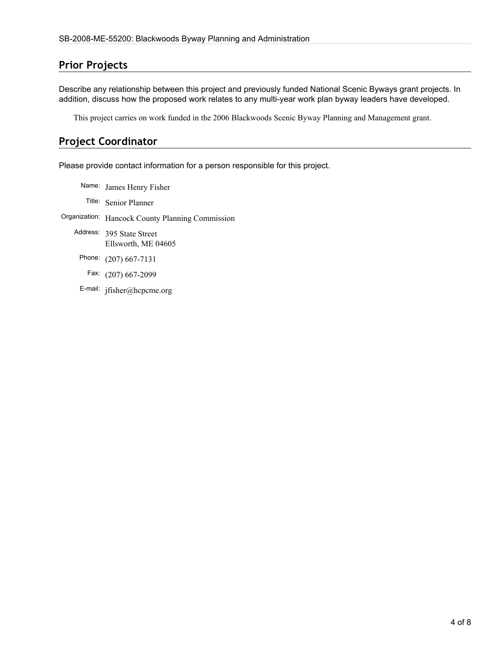## **Prior Projects**

Describe any relationship between this project and previously funded National Scenic Byways grant projects. In addition, discuss how the proposed work relates to any multi-year work plan byway leaders have developed.

This project carries on work funded in the 2006 Blackwoods Scenic Byway Planning and Management grant.

### **Project Coordinator**

Please provide contact information for a person responsible for this project.

Name: James Henry Fisher Title: Senior Planner Organization: Hancock County Planning Commission Address: 395 State Street Ellsworth, ME 04605 Phone: (207) 667-7131 Fax: (207) 667-2099 E-mail: jfisher@hcpcme.org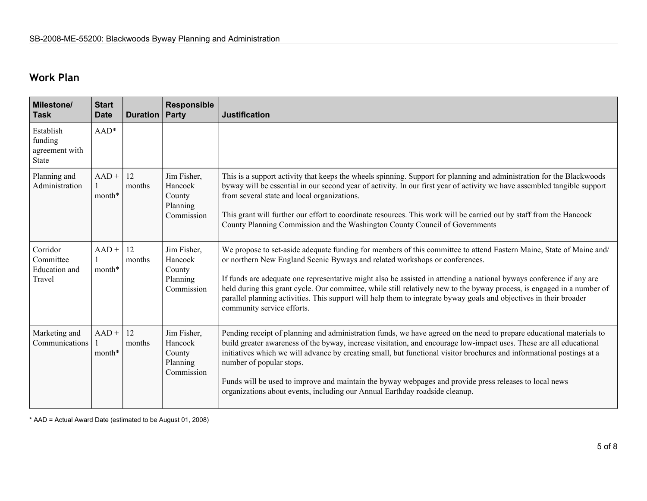# **Work Plan**

| <b>Milestone/</b><br><b>Task</b>                        | <b>Start</b><br><b>Date</b> | <b>Duration   Party</b> | <b>Responsible</b>                                         | <b>Justification</b>                                                                                                                                                                                                                                                                                                                                                                                                                                                                                                                                                                                      |
|---------------------------------------------------------|-----------------------------|-------------------------|------------------------------------------------------------|-----------------------------------------------------------------------------------------------------------------------------------------------------------------------------------------------------------------------------------------------------------------------------------------------------------------------------------------------------------------------------------------------------------------------------------------------------------------------------------------------------------------------------------------------------------------------------------------------------------|
| Establish<br>funding<br>agreement with<br><b>State</b>  | $AAD*$                      |                         |                                                            |                                                                                                                                                                                                                                                                                                                                                                                                                                                                                                                                                                                                           |
| Planning and<br>Administration                          | $AAD +$<br>month*           | 12<br>months            | Jim Fisher,<br>Hancock<br>County<br>Planning<br>Commission | This is a support activity that keeps the wheels spinning. Support for planning and administration for the Blackwoods<br>byway will be essential in our second year of activity. In our first year of activity we have assembled tangible support<br>from several state and local organizations.<br>This grant will further our effort to coordinate resources. This work will be carried out by staff from the Hancock<br>County Planning Commission and the Washington County Council of Governments                                                                                                    |
| Corridor<br>Committee<br><b>Education</b> and<br>Travel | $AAD +$<br>month*           | 12<br>months            | Jim Fisher,<br>Hancock<br>County<br>Planning<br>Commission | We propose to set-aside adequate funding for members of this committee to attend Eastern Maine, State of Maine and/<br>or northern New England Scenic Byways and related workshops or conferences.<br>If funds are adequate one representative might also be assisted in attending a national byways conference if any are<br>held during this grant cycle. Our committee, while still relatively new to the byway process, is engaged in a number of<br>parallel planning activities. This support will help them to integrate byway goals and objectives in their broader<br>community service efforts. |
| Marketing and<br>Communications                         | $AAD +$<br>month*           | 12<br>months            | Jim Fisher,<br>Hancock<br>County<br>Planning<br>Commission | Pending receipt of planning and administration funds, we have agreed on the need to prepare educational materials to<br>build greater awareness of the byway, increase visitation, and encourage low-impact uses. These are all educational<br>initiatives which we will advance by creating small, but functional visitor brochures and informational postings at a<br>number of popular stops.<br>Funds will be used to improve and maintain the byway webpages and provide press releases to local news<br>organizations about events, including our Annual Earthday roadside cleanup.                 |

\* AAD = Actual Award Date (estimated to be August 01, 2008)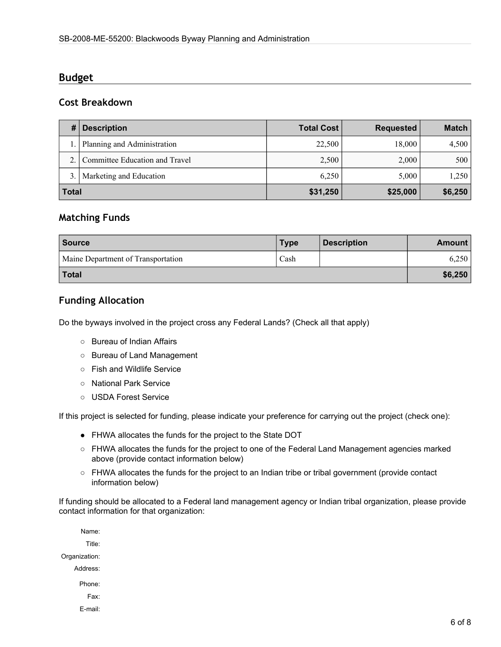#### **Budget**

#### **Cost Breakdown**

| #            | <b>Description</b>             | <b>Total Cost</b> | <b>Requested</b> | <b>Match</b> |
|--------------|--------------------------------|-------------------|------------------|--------------|
|              | Planning and Administration    | 22,500            | 18,000           | 4,500        |
|              | Committee Education and Travel | 2,500             | 2,000            | 500          |
| 3.           | Marketing and Education        | 6.250             | 5,000            | 1,250        |
| <b>Total</b> |                                | \$31,250          | \$25,000         | \$6,250      |

#### **Matching Funds**

| <b>Source</b>                      | <b>Type</b> | <b>Description</b> | <b>Amount</b> |
|------------------------------------|-------------|--------------------|---------------|
| Maine Department of Transportation | Cash        |                    | 6,250         |
| Total                              |             |                    | \$6,250       |

#### **Funding Allocation**

Do the byways involved in the project cross any Federal Lands? (Check all that apply)

- Bureau of Indian Affairs
- Bureau of Land Management
- Fish and Wildlife Service
- National Park Service
- USDA Forest Service

If this project is selected for funding, please indicate your preference for carrying out the project (check one):

- FHWA allocates the funds for the project to the State DOT
- FHWA allocates the funds for the project to one of the Federal Land Management agencies marked above (provide contact information below)
- FHWA allocates the funds for the project to an Indian tribe or tribal government (provide contact information below)

If funding should be allocated to a Federal land management agency or Indian tribal organization, please provide contact information for that organization:

Name: Title: Organization: Address: Phone: Fax: E-mail: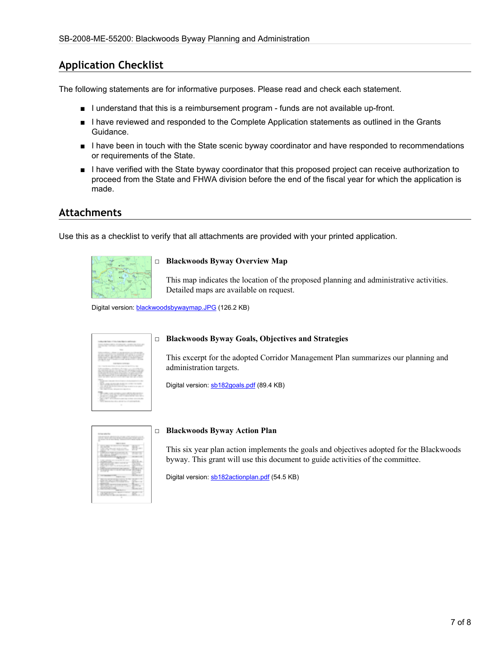#### **Application Checklist**

The following statements are for informative purposes. Please read and check each statement.

- I understand that this is a reimbursement program funds are not available up-front.
- I have reviewed and responded to the Complete Application statements as outlined in the Grants Guidance.
- I have been in touch with the State scenic byway coordinator and have responded to recommendations or requirements of the State.
- I have verified with the State byway coordinator that this proposed project can receive authorization to proceed from the State and FHWA division before the end of the fiscal year for which the application is made.

#### **Attachments**

Use this as a checklist to verify that all attachments are provided with your printed application.



#### □ **Blackwoods Byway Overview Map**

This map indicates the location of the proposed planning and administrative activities. Detailed maps are available on request.

Digital version: [blackwoodsbywaymap.JPG](http://www.bywaysonline.org//grants/application/attachments/8489_qbc1fjk4k2.JPG) (126.2 KB)

#### □ **Blackwoods Byway Goals, Objectives and Strategies**

This excerpt for the adopted Corridor Management Plan summarizes our planning and administration targets.

Digital version: [sb182goals.pdf](http://www.bywaysonline.org//grants/application/attachments/8493_kiwz60u4rs.pdf) (89.4 KB)



#### □ **Blackwoods Byway Action Plan**

This six year plan action implements the goals and objectives adopted for the Blackwoods byway. This grant will use this document to guide activities of the committee.

Digital version: [sb182actionplan.pdf](http://www.bywaysonline.org//grants/application/attachments/8494_keifqr5i61.pdf) (54.5 KB)